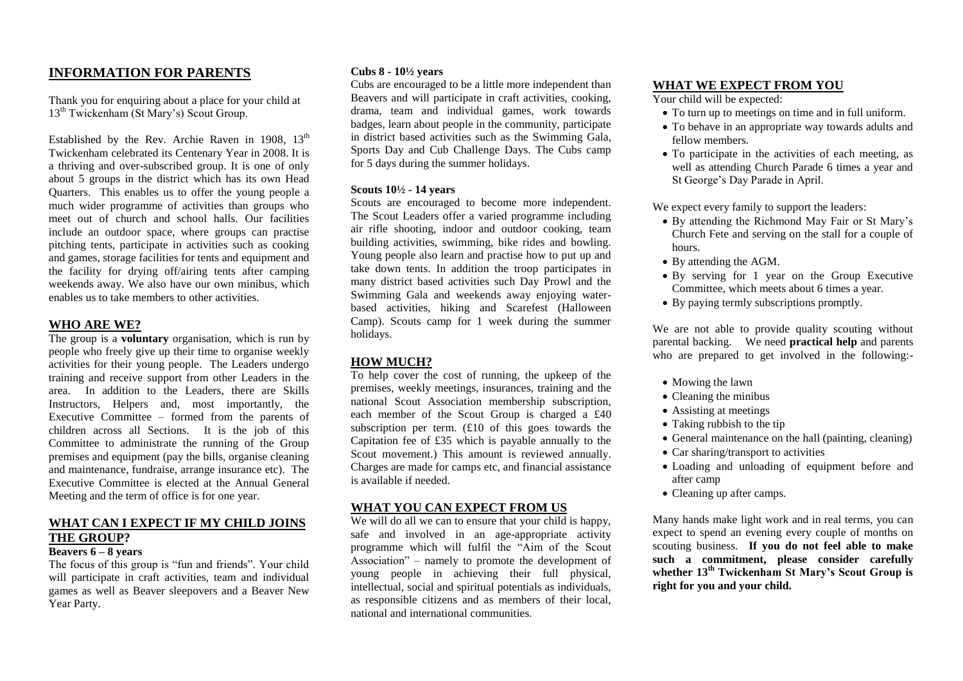## **INFORMATION FOR PARENTS**

Thank you for enquiring about a place for your child at 13<sup>th</sup> Twickenham (St Mary's) Scout Group.

Established by the Rev. Archie Raven in 1908,  $13<sup>th</sup>$ Twickenham celebrated its Centenary Year in 2008. It is a thriving and over-subscribed group. It is one of only about 5 groups in the district which has its own Head Quarters. This enables us to offer the young people a much wider programme of activities than groups who meet out of church and school halls. Our facilities include an outdoor space, where groups can practise pitching tents, participate in activities such as cooking and games, storage facilities for tents and equipment and the facility for drying off/airing tents after camping weekends away. We also have our own minibus, which enables us to take members to other activities.

## **WHO ARE WE?**

The group is a **voluntary** organisation, which is run by people who freely give up their time to organise weekly activities for their young people. The Leaders undergo training and receive support from other Leaders in the area. In addition to the Leaders, there are Skills Instructors, Helpers and, most importantly, the Executive Committee – formed from the parents of children across all Sections. It is the job of this Committee to administrate the running of the Group premises and equipment (pay the bills, organise cleaning and maintenance, fundraise, arrange insurance etc). The Executive Committee is elected at the Annual General Meeting and the term of office is for one year.

# **WHAT CAN I EXPECT IF MY CHILD JOINS THE GROUP?**

## **Beavers 6 – 8 years**

The focus of this group is "fun and friends". Your child will participate in craft activities, team and individual games as well as Beaver sleepovers and a Beaver New Year Party.

### **Cubs 8 - 10½ years**

Cubs are encouraged to be a little more independent than Beavers and will participate in craft activities, cooking, drama, team and individual games, work towards badges, learn about people in the community, participate in district based activities such as the Swimming Gala, Sports Day and Cub Challenge Days. The Cubs camp for 5 days during the summer holidays.

### **Scouts 10½ - 14 years**

Scouts are encouraged to become more independent. The Scout Leaders offer a varied programme including air rifle shooting, indoor and outdoor cooking, team building activities, swimming, bike rides and bowling. Young people also learn and practise how to put up and take down tents. In addition the troop participates in many district based activities such Day Prowl and the Swimming Gala and weekends away enjoying waterbased activities, hiking and Scarefest (Halloween Camp). Scouts camp for 1 week during the summer holidays.

## **HOW MUCH?**

To help cover the cost of running, the upkeep of the premises, weekly meetings, insurances, training and the national Scout Association membership subscription, each member of the Scout Group is charged a £40 subscription per term. (£10 of this goes towards the Capitation fee of £35 which is payable annually to the Scout movement.) This amount is reviewed annually. Charges are made for camps etc, and financial assistance is available if needed.

## **WHAT YOU CAN EXPECT FROM US**

We will do all we can to ensure that your child is happy, safe and involved in an age-appropriate activity programme which will fulfil the "Aim of the Scout Association" – namely to promote the development of young people in achieving their full physical, intellectual, social and spiritual potentials as individuals, as responsible citizens and as members of their local, national and international communities.

### **WHAT WE EXPECT FROM YOU**

Your child will be expected:

- To turn up to meetings on time and in full uniform.
- To behave in an appropriate way towards adults and fellow members.
- To participate in the activities of each meeting, as well as attending Church Parade 6 times a year and St George's Day Parade in April.

We expect every family to support the leaders:

- By attending the Richmond May Fair or St Mary's Church Fete and serving on the stall for a couple of hours.
- By attending the AGM.
- By serving for 1 year on the Group Executive Committee, which meets about 6 times a year.
- By paying termly subscriptions promptly.

We are not able to provide quality scouting without parental backing. We need **practical help** and parents who are prepared to get involved in the following:-

- Mowing the lawn
- Cleaning the minibus
- Assisting at meetings
- Taking rubbish to the tip
- General maintenance on the hall (painting, cleaning)
- Car sharing/transport to activities
- Loading and unloading of equipment before and after camp
- Cleaning up after camps.

Many hands make light work and in real terms, you can expect to spend an evening every couple of months on scouting business. **If you do not feel able to make such a commitment, please consider carefully whether 13th Twickenham St Mary's Scout Group is right for you and your child.**